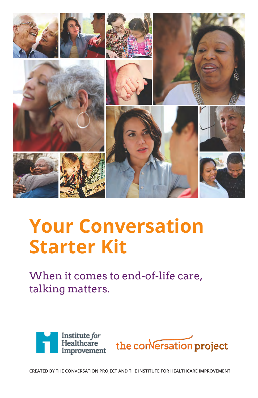

## **Your Conversation Starter Kit**

When it comes to end-of-life care, talking matters.





**CREATED BY THE CONVERSATION PROJECT AND THE INSTITUTE FOR HEALTHCARE IMPROVEMENT**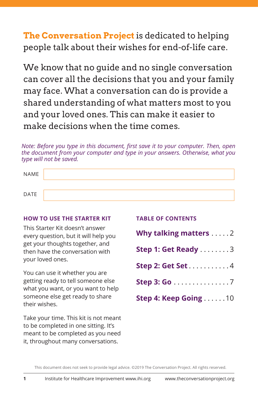**The Conversation Project** is dedicated to helping people talk about their wishes for end-of-life care.

We know that no guide and no single conversation can cover all the decisions that you and your family may face. What a conversation can do is provide a shared understanding of what matters most to you and your loved ones. This can make it easier to make decisions when the time comes.

*Note: Before you type in this document, first save it to your computer. Then, open the document from your computer and type in your answers. Otherwise, what you type will not be saved.* 

| NAME |  |
|------|--|
|      |  |
| DATE |  |

#### **HOW TO USE THE STARTER KIT**

This Starter Kit doesn't answer every question, but it will help you get your thoughts together, and then have the conversation with your loved ones.

You can use it whether you are getting ready to tell someone else what you want, or you want to help someone else get ready to share their wishes.

Take your time. This kit is not meant to be completed in one sitting. It's meant to be completed as you need it, throughout many conversations.

|  |  | <b>TABLE OF CONTENTS</b> |
|--|--|--------------------------|
|  |  |                          |

| Why talking matters 2 |
|-----------------------|
| Step 1: Get Ready 3   |
| Step 2: Get Set 4     |
| Step 3: Go 7          |
| Step 4: Keep Going 10 |

This document does not seek to provide legal advice. ©2019 The Conversation Project. All rights reserved.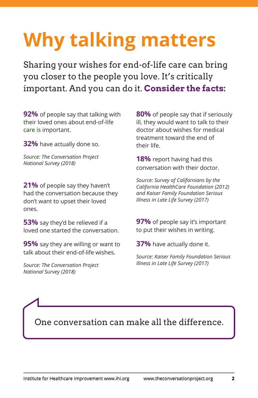# **Why talking matters**

Sharing your wishes for end-of-life care can bring you closer to the people you love. It's critically important. And you can do it. **Consider the facts:**

**92%** of people say that talking with their loved ones about end-of-life care is important.

**32%** have actually done so.

*Source: The Conversation Project National Survey (2018)*

**21%** of people say they haven't had the conversation because they don't want to upset their loved ones.

**53%** say they'd be relieved if a loved one started the conversation.

**95%** say they are willing or want to talk about their end-of-life wishes.

*Source: The Conversation Project National Survey (2018)*

**80%** of people say that if seriously ill, they would want to talk to their doctor about wishes for medical treatment toward the end of their life.

**18%** report having had this conversation with their doctor.

*Source: Survey of Californians by the California HealthCare Foundation (2012) and Kaiser Family Foundation Serious Illness in Late Life Survey (2017)*

**97%** of people say it's important to put their wishes in writing.

**37%** have actually done it.

*Source: Kaiser Family Foundation Serious Illness in Late Life Survey (2017)*

One conversation can make all the difference.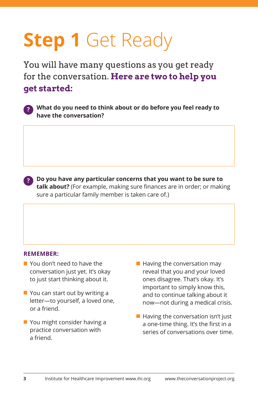## **Step 1 Get Ready**

You will have many questions as you get ready for the conversation. **Here are two to help you get started:**



**?**

 **What do you need to think about or do before you feel ready to have the conversation?** 

 **Do you have any particular concerns that you want to be sure to talk about?** (For example, making sure finances are in order; or making sure a particular family member is taken care of.)

#### **REMEMBER:**

- You don't need to have the conversation just yet. It's okay to just start thinking about it.
- **You can start out by writing a** letter—to yourself, a loved one, or a friend.
- **You might consider having a** practice conversation with a friend.
- **Having the conversation may** reveal that you and your loved ones disagree. That's okay. It's important to simply know this, and to continue talking about it now—not during a medical crisis.
- **Having the conversation isn't just** a one-time thing. It's the first in a series of conversations over time.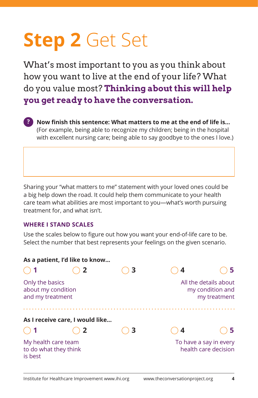## **Step 2** Get Set

What's most important to you as you think about how you want to live at the end of your life? What do you value most? **Thinking about this will help you get ready to have the conversation.**



**Now finish this sentence: What matters to me at the end of life is…** (For example, being able to recognize my children; being in the hospital with excellent nursing care; being able to say goodbye to the ones I love.)

Sharing your "what matters to me" statement with your loved ones could be a big help down the road. It could help them communicate to your health care team what abilities are most important to you—what's worth pursuing treatment for, and what isn't.

### **WHERE I STAND SCALES**

Use the scales below to figure out how you want your end-of-life care to be. Select the number that best represents your feelings on the given scenario.

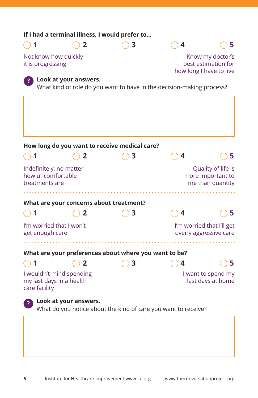| If I had a terminal illness, I would prefer to                        |   |                                                                       |   |                                                                    |
|-----------------------------------------------------------------------|---|-----------------------------------------------------------------------|---|--------------------------------------------------------------------|
| 1                                                                     | 2 | з                                                                     | 4 | 5                                                                  |
| Not know how quickly<br>it is progressing                             |   |                                                                       |   | Know my doctor's<br>best estimation for<br>how long I have to live |
| Look at your answers.                                                 |   | What kind of role do you want to have in the decision-making process? |   |                                                                    |
| How long do you want to receive medical care?                         |   |                                                                       |   |                                                                    |
| 1                                                                     | 2 | 3                                                                     | 4 | 5                                                                  |
| Indefinitely, no matter<br>how uncomfortable<br>treatments are        |   |                                                                       |   | Quality of life is<br>more important to<br>me than quantity        |
| What are your concerns about treatment?                               |   |                                                                       |   |                                                                    |
| 1                                                                     | 2 | 3                                                                     | 4 | 5                                                                  |
| I'm worried that I won't<br>get enough care                           |   |                                                                       |   | I'm worried that I'll get<br>overly aggressive care                |
|                                                                       |   | What are your preferences about where you want to be?                 |   |                                                                    |
| 1                                                                     | 2 | 3                                                                     | 4 | 5                                                                  |
| I wouldn't mind spending<br>my last days in a health<br>care facility |   |                                                                       |   | I want to spend my<br>last days at home                            |
| Look at your answers.                                                 |   | What do you notice about the kind of care you want to receive?        |   |                                                                    |
|                                                                       |   |                                                                       |   |                                                                    |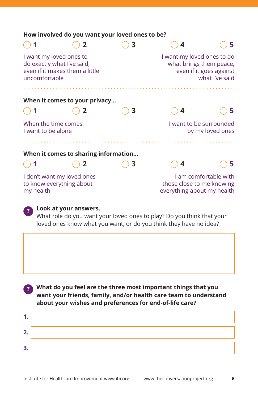| How involved do you want your loved ones to be?                        |                                      |   |                                                         |                                           |
|------------------------------------------------------------------------|--------------------------------------|---|---------------------------------------------------------|-------------------------------------------|
|                                                                        |                                      | 3 | 4                                                       | 5                                         |
| I want my loved ones to<br>do exactly what I've said,<br>uncomfortable | even if it makes them a little       |   | I want my loved ones to do<br>what brings them peace,   | even if it goes against<br>what I've said |
|                                                                        |                                      |   |                                                         |                                           |
|                                                                        | When it comes to your privacy        |   |                                                         |                                           |
|                                                                        |                                      | З | 4                                                       | 5                                         |
| When the time comes,<br>I want to be alone                             |                                      |   | I want to be surrounded                                 | by my loved ones                          |
|                                                                        |                                      |   |                                                         |                                           |
|                                                                        | When it comes to sharing information |   |                                                         |                                           |
|                                                                        |                                      | 3 | 4                                                       | 5                                         |
| I don't want my loved ones<br>to know everything about<br>my health    |                                      |   | those close to me knowing<br>everything about my health | I am comfortable with                     |



## **? Look at your answers.**

What role do you want your loved ones to play? Do you think that your loved ones know what you want, or do you think they have no idea?

 **What do you feel are the three most important things that you ? want your friends, family, and/or health care team to understand about your wishes and preferences for end-of-life care?**

| 7  |  |
|----|--|
| З. |  |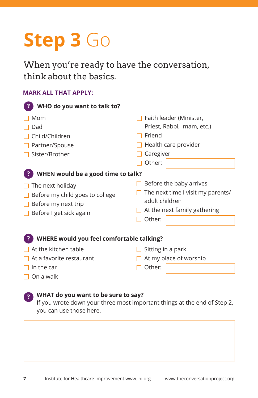## **Step 3** Go

When you're ready to have the conversation, think about the basics.

### **MARK ALL THAT APPLY:**

| WHO do you want to talk to?                                                                                                                 |                                                                                                                                    |  |  |  |
|---------------------------------------------------------------------------------------------------------------------------------------------|------------------------------------------------------------------------------------------------------------------------------------|--|--|--|
| Mom<br>Dad<br>Child/Children<br>Partner/Spouse<br>Sister/Brother                                                                            | Faith leader (Minister,<br>Priest, Rabbi, Imam, etc.)<br>Friend<br>Health care provider<br>Caregiver                               |  |  |  |
| WHEN would be a good time to talk?<br>The next holiday<br>Before my child goes to college<br>Before my next trip<br>Before I get sick again | Other:<br>Before the baby arrives<br>The next time I visit my parents/<br>adult children<br>At the next family gathering<br>Other: |  |  |  |
| WHERE would you feel comfortable talking?                                                                                                   |                                                                                                                                    |  |  |  |
| At the kitchen table                                                                                                                        | Sitting in a park                                                                                                                  |  |  |  |

- $\Box$  At a favorite restaurant
- $\Box$  In the car
- $\Box$  On a walk

**?**

### **WHAT do you want to be sure to say?**

If you wrote down your three most important things at the end of Step 2, you can use those here.

□ Other:

 $\Box$  At my place of worship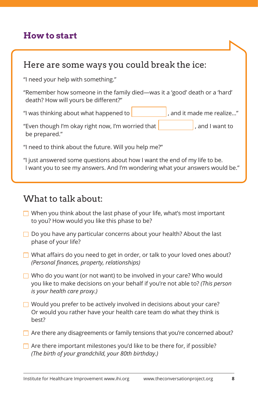## **How to start**

## Here are some ways you could break the ice:

"I need your help with something."

"Remember how someone in the family died—was it a 'good' death or a 'hard' death? How will yours be different?"

"I was thinking about what happened to  $\vert$ , and it made me realize..."

"Even though I'm okay right now, I'm worried that  $\vert$ , and I want to be prepared."

"I need to think about the future. Will you help me?"

"I just answered some questions about how I want the end of my life to be. I want you to see my answers. And I'm wondering what your answers would be."

## What to talk about:

- $\Box$  When you think about the last phase of your life, what's most important to you? How would you like this phase to be?
- $\Box$  Do you have any particular concerns about your health? About the last phase of your life?
- $\Box$  What affairs do you need to get in order, or talk to your loved ones about? *(Personal finances, property, relationships)*
- $\Box$  Who do you want (or not want) to be involved in your care? Who would you like to make decisions on your behalf if you're not able to? *(This person is your health care proxy.)*
- $\Box$  Would you prefer to be actively involved in decisions about your care? Or would you rather have your health care team do what they think is best?
- $\Box$  Are there any disagreements or family tensions that you're concerned about?
- $\Box$  Are there important milestones you'd like to be there for, if possible? *(The birth of your grandchild, your 80th birthday.)*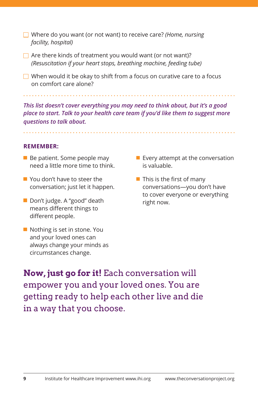- Where do you want (or not want) to receive care? *(Home, nursing facility, hospital)*
- $\Box$  Are there kinds of treatment you would want (or not want)? *(Resuscitation if your heart stops, breathing machine, feeding tube)*
- $\Box$  When would it be okay to shift from a focus on curative care to a focus on comfort care alone?

*This list doesn't cover everything you may need to think about, but it's a good place to start. Talk to your health care team if you'd like them to suggest more questions to talk about.*

**REMEMBER:**

■ Be patient. Some people may need a little more time to think.

- You don't have to steer the conversation; just let it happen.
- Don't judge. A "good" death means different things to different people.
- Nothing is set in stone. You and your loved ones can always change your minds as circumstances change.
- **Exery attempt at the conversation** is valuable.
- **This is the first of many** conversations—you don't have to cover everyone or everything right now.

**Now, just go for it!** Each conversation will empower you and your loved ones. You are getting ready to help each other live and die in a way that you choose.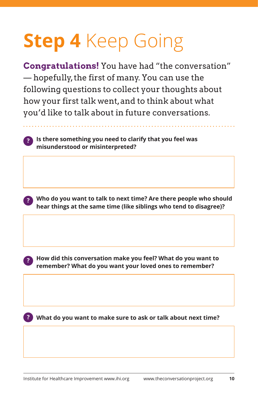## **Step 4** Keep Going

**Congratulations!** You have had "the conversation" — hopefully, the first of many. You can use the following questions to collect your thoughts about how your first talk went, and to think about what you'd like to talk about in future conversations.

 **Is there something you need to clarify that you feel was ? misunderstood or misinterpreted?**



 **How did this conversation make you feel? What do you want to remember? What do you want your loved ones to remember?**

**?**

**What do you want to make sure to ask or talk about next time? ?**